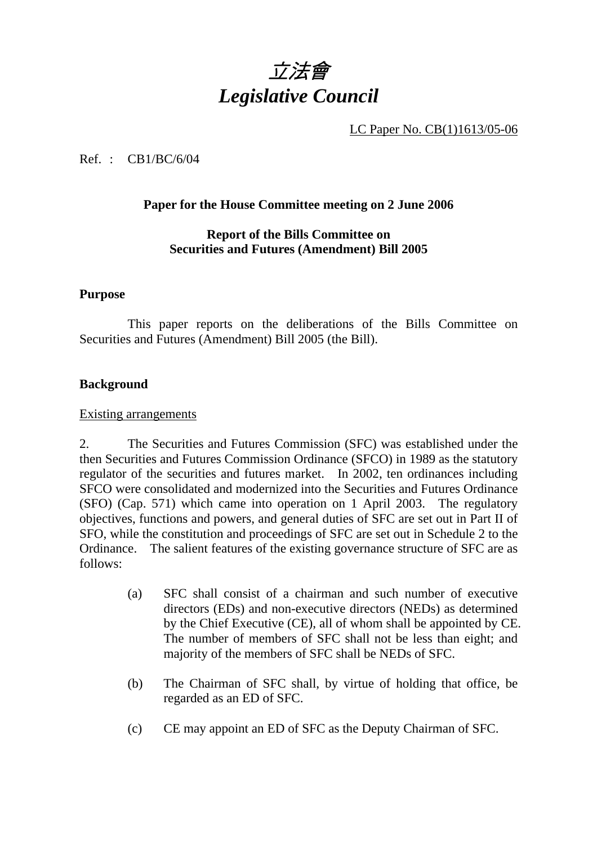

LC Paper No. CB(1)1613/05-06

#### Ref. : CB1/BC/6/04

#### **Paper for the House Committee meeting on 2 June 2006**

#### **Report of the Bills Committee on Securities and Futures (Amendment) Bill 2005**

#### **Purpose**

 This paper reports on the deliberations of the Bills Committee on Securities and Futures (Amendment) Bill 2005 (the Bill).

#### **Background**

#### Existing arrangements

2. The Securities and Futures Commission (SFC) was established under the then Securities and Futures Commission Ordinance (SFCO) in 1989 as the statutory regulator of the securities and futures market. In 2002, ten ordinances including SFCO were consolidated and modernized into the Securities and Futures Ordinance (SFO) (Cap. 571) which came into operation on 1 April 2003. The regulatory objectives, functions and powers, and general duties of SFC are set out in Part II of SFO, while the constitution and proceedings of SFC are set out in Schedule 2 to the Ordinance. The salient features of the existing governance structure of SFC are as follows:

- (a) SFC shall consist of a chairman and such number of executive directors (EDs) and non-executive directors (NEDs) as determined by the Chief Executive (CE), all of whom shall be appointed by CE. The number of members of SFC shall not be less than eight; and majority of the members of SFC shall be NEDs of SFC.
- (b) The Chairman of SFC shall, by virtue of holding that office, be regarded as an ED of SFC.
- (c) CE may appoint an ED of SFC as the Deputy Chairman of SFC.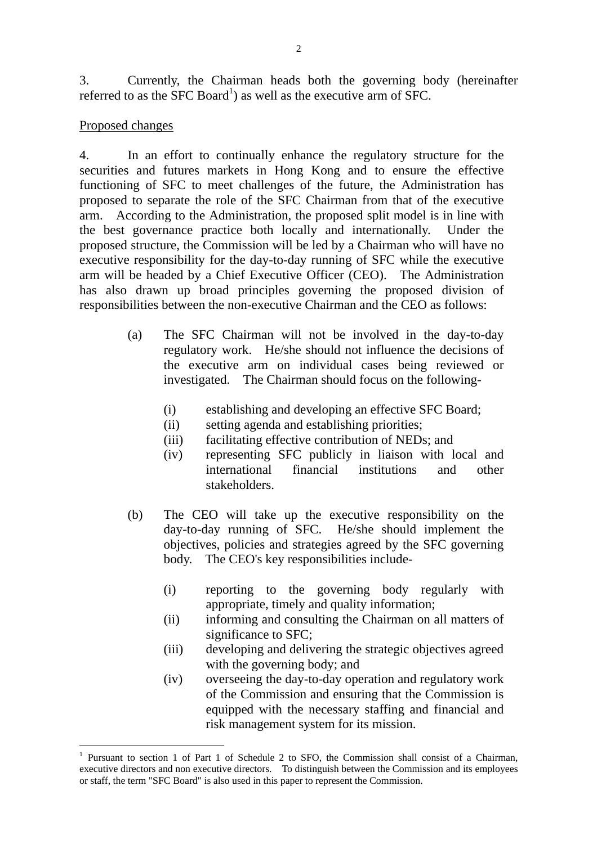3. Currently, the Chairman heads both the governing body (hereinafter referred to as the  $SFC$  Board<sup>1</sup>) as well as the executive arm of SFC.

#### Proposed changes

 $\overline{a}$ 

4. In an effort to continually enhance the regulatory structure for the securities and futures markets in Hong Kong and to ensure the effective functioning of SFC to meet challenges of the future, the Administration has proposed to separate the role of the SFC Chairman from that of the executive arm. According to the Administration, the proposed split model is in line with the best governance practice both locally and internationally. Under the proposed structure, the Commission will be led by a Chairman who will have no executive responsibility for the day-to-day running of SFC while the executive arm will be headed by a Chief Executive Officer (CEO). The Administration has also drawn up broad principles governing the proposed division of responsibilities between the non-executive Chairman and the CEO as follows:

- (a) The SFC Chairman will not be involved in the day-to-day regulatory work. He/she should not influence the decisions of the executive arm on individual cases being reviewed or investigated. The Chairman should focus on the following-
	- (i) establishing and developing an effective SFC Board;
	- (ii) setting agenda and establishing priorities;
	- (iii) facilitating effective contribution of NEDs; and
	- (iv) representing SFC publicly in liaison with local and international financial institutions and other stakeholders.
- (b) The CEO will take up the executive responsibility on the day-to-day running of SFC. He/she should implement the objectives, policies and strategies agreed by the SFC governing body. The CEO's key responsibilities include-
	- (i) reporting to the governing body regularly with appropriate, timely and quality information;
	- (ii) informing and consulting the Chairman on all matters of significance to SFC;
	- (iii) developing and delivering the strategic objectives agreed with the governing body; and
	- (iv) overseeing the day-to-day operation and regulatory work of the Commission and ensuring that the Commission is equipped with the necessary staffing and financial and risk management system for its mission.

<sup>1</sup> Pursuant to section 1 of Part 1 of Schedule 2 to SFO, the Commission shall consist of a Chairman, executive directors and non executive directors. To distinguish between the Commission and its employees or staff, the term "SFC Board" is also used in this paper to represent the Commission.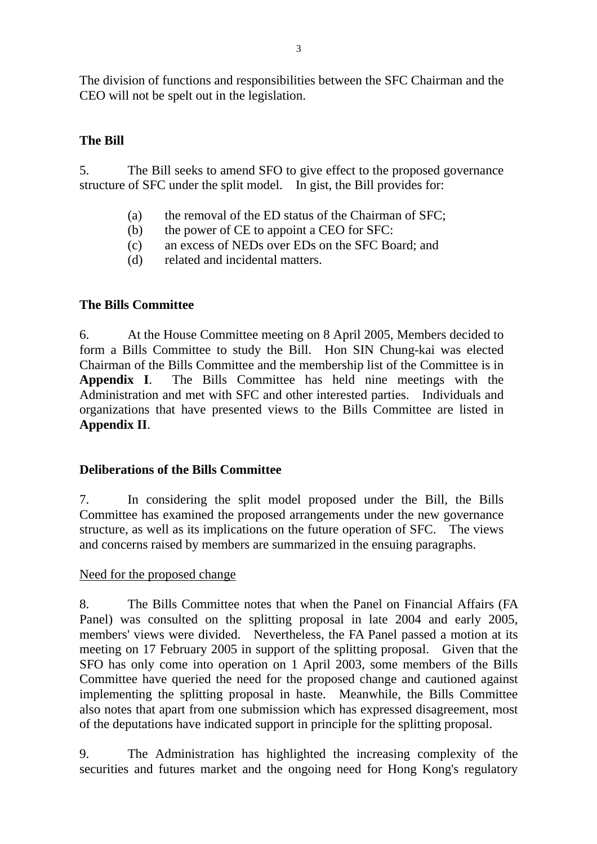The division of functions and responsibilities between the SFC Chairman and the CEO will not be spelt out in the legislation.

## **The Bill**

5. The Bill seeks to amend SFO to give effect to the proposed governance structure of SFC under the split model. In gist, the Bill provides for:

- (a) the removal of the ED status of the Chairman of SFC;
- (b) the power of CE to appoint a CEO for SFC:
- (c) an excess of NEDs over EDs on the SFC Board; and
- (d) related and incidental matters.

# **The Bills Committee**

6. At the House Committee meeting on 8 April 2005, Members decided to form a Bills Committee to study the Bill. Hon SIN Chung-kai was elected Chairman of the Bills Committee and the membership list of the Committee is in **Appendix I**. The Bills Committee has held nine meetings with the Administration and met with SFC and other interested parties. Individuals and organizations that have presented views to the Bills Committee are listed in **Appendix II**.

### **Deliberations of the Bills Committee**

7. In considering the split model proposed under the Bill, the Bills Committee has examined the proposed arrangements under the new governance structure, as well as its implications on the future operation of SFC. The views and concerns raised by members are summarized in the ensuing paragraphs.

### Need for the proposed change

8. The Bills Committee notes that when the Panel on Financial Affairs (FA Panel) was consulted on the splitting proposal in late 2004 and early 2005, members' views were divided. Nevertheless, the FA Panel passed a motion at its meeting on 17 February 2005 in support of the splitting proposal. Given that the SFO has only come into operation on 1 April 2003, some members of the Bills Committee have queried the need for the proposed change and cautioned against implementing the splitting proposal in haste. Meanwhile, the Bills Committee also notes that apart from one submission which has expressed disagreement, most of the deputations have indicated support in principle for the splitting proposal.

9. The Administration has highlighted the increasing complexity of the securities and futures market and the ongoing need for Hong Kong's regulatory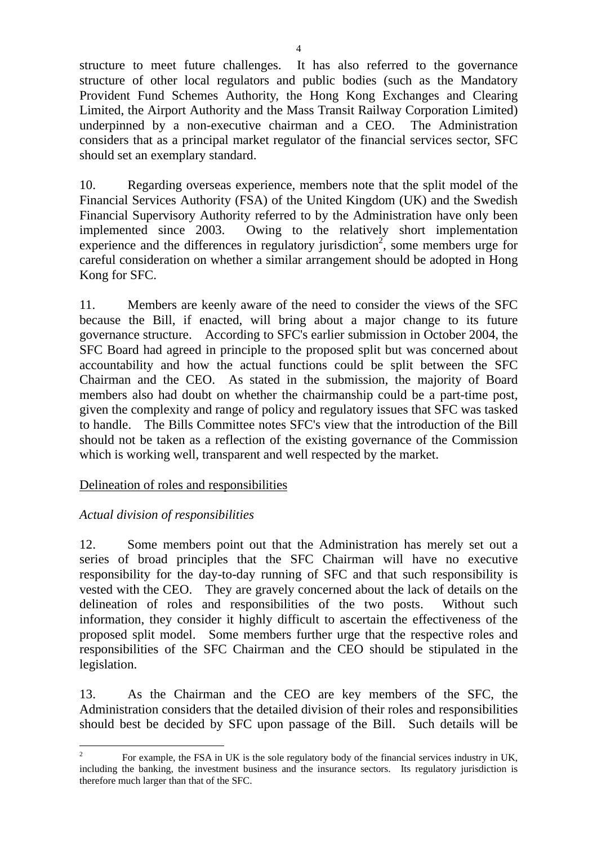structure to meet future challenges. It has also referred to the governance structure of other local regulators and public bodies (such as the Mandatory Provident Fund Schemes Authority, the Hong Kong Exchanges and Clearing Limited, the Airport Authority and the Mass Transit Railway Corporation Limited) underpinned by a non-executive chairman and a CEO. The Administration considers that as a principal market regulator of the financial services sector, SFC should set an exemplary standard.

10. Regarding overseas experience, members note that the split model of the Financial Services Authority (FSA) of the United Kingdom (UK) and the Swedish Financial Supervisory Authority referred to by the Administration have only been implemented since 2003. Owing to the relatively short implementation experience and the differences in regulatory jurisdiction<sup>2</sup>, some members urge for careful consideration on whether a similar arrangement should be adopted in Hong Kong for SFC.

11. Members are keenly aware of the need to consider the views of the SFC because the Bill, if enacted, will bring about a major change to its future governance structure. According to SFC's earlier submission in October 2004, the SFC Board had agreed in principle to the proposed split but was concerned about accountability and how the actual functions could be split between the SFC Chairman and the CEO. As stated in the submission, the majority of Board members also had doubt on whether the chairmanship could be a part-time post, given the complexity and range of policy and regulatory issues that SFC was tasked to handle. The Bills Committee notes SFC's view that the introduction of the Bill should not be taken as a reflection of the existing governance of the Commission which is working well, transparent and well respected by the market.

### Delineation of roles and responsibilities

### *Actual division of responsibilities*

12. Some members point out that the Administration has merely set out a series of broad principles that the SFC Chairman will have no executive responsibility for the day-to-day running of SFC and that such responsibility is vested with the CEO. They are gravely concerned about the lack of details on the delineation of roles and responsibilities of the two posts. Without such information, they consider it highly difficult to ascertain the effectiveness of the proposed split model. Some members further urge that the respective roles and responsibilities of the SFC Chairman and the CEO should be stipulated in the legislation.

13. As the Chairman and the CEO are key members of the SFC, the Administration considers that the detailed division of their roles and responsibilities should best be decided by SFC upon passage of the Bill. Such details will be

 $\frac{1}{2}$  For example, the FSA in UK is the sole regulatory body of the financial services industry in UK, including the banking, the investment business and the insurance sectors. Its regulatory jurisdiction is therefore much larger than that of the SFC.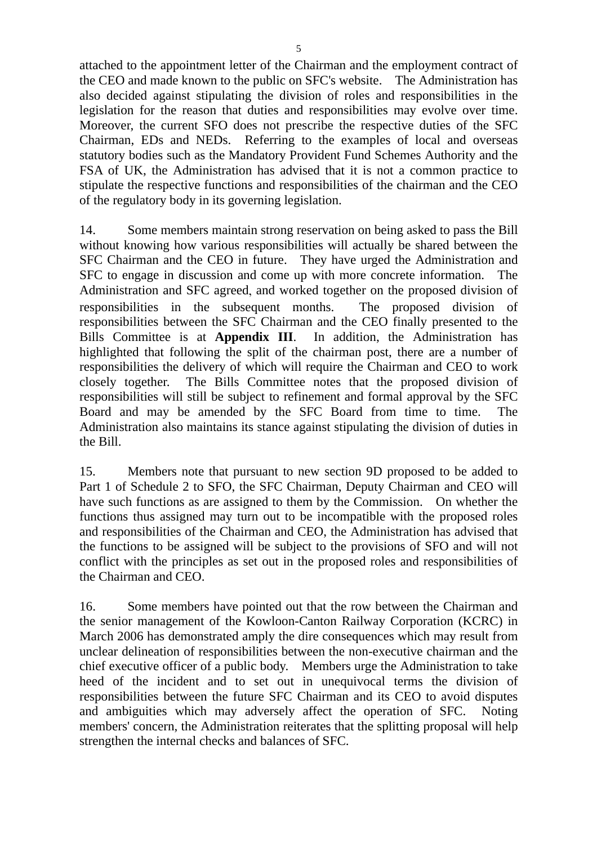attached to the appointment letter of the Chairman and the employment contract of the CEO and made known to the public on SFC's website. The Administration has also decided against stipulating the division of roles and responsibilities in the legislation for the reason that duties and responsibilities may evolve over time. Moreover, the current SFO does not prescribe the respective duties of the SFC Chairman, EDs and NEDs. Referring to the examples of local and overseas statutory bodies such as the Mandatory Provident Fund Schemes Authority and the FSA of UK, the Administration has advised that it is not a common practice to stipulate the respective functions and responsibilities of the chairman and the CEO of the regulatory body in its governing legislation.

14. Some members maintain strong reservation on being asked to pass the Bill without knowing how various responsibilities will actually be shared between the SFC Chairman and the CEO in future. They have urged the Administration and SFC to engage in discussion and come up with more concrete information. The Administration and SFC agreed, and worked together on the proposed division of responsibilities in the subsequent months. The proposed division of responsibilities between the SFC Chairman and the CEO finally presented to the Bills Committee is at **Appendix III**. In addition, the Administration has highlighted that following the split of the chairman post, there are a number of responsibilities the delivery of which will require the Chairman and CEO to work closely together. The Bills Committee notes that the proposed division of responsibilities will still be subject to refinement and formal approval by the SFC Board and may be amended by the SFC Board from time to time. The Administration also maintains its stance against stipulating the division of duties in the Bill.

15. Members note that pursuant to new section 9D proposed to be added to Part 1 of Schedule 2 to SFO, the SFC Chairman, Deputy Chairman and CEO will have such functions as are assigned to them by the Commission. On whether the functions thus assigned may turn out to be incompatible with the proposed roles and responsibilities of the Chairman and CEO, the Administration has advised that the functions to be assigned will be subject to the provisions of SFO and will not conflict with the principles as set out in the proposed roles and responsibilities of the Chairman and CEO.

16. Some members have pointed out that the row between the Chairman and the senior management of the Kowloon-Canton Railway Corporation (KCRC) in March 2006 has demonstrated amply the dire consequences which may result from unclear delineation of responsibilities between the non-executive chairman and the chief executive officer of a public body. Members urge the Administration to take heed of the incident and to set out in unequivocal terms the division of responsibilities between the future SFC Chairman and its CEO to avoid disputes and ambiguities which may adversely affect the operation of SFC. Noting members' concern, the Administration reiterates that the splitting proposal will help strengthen the internal checks and balances of SFC.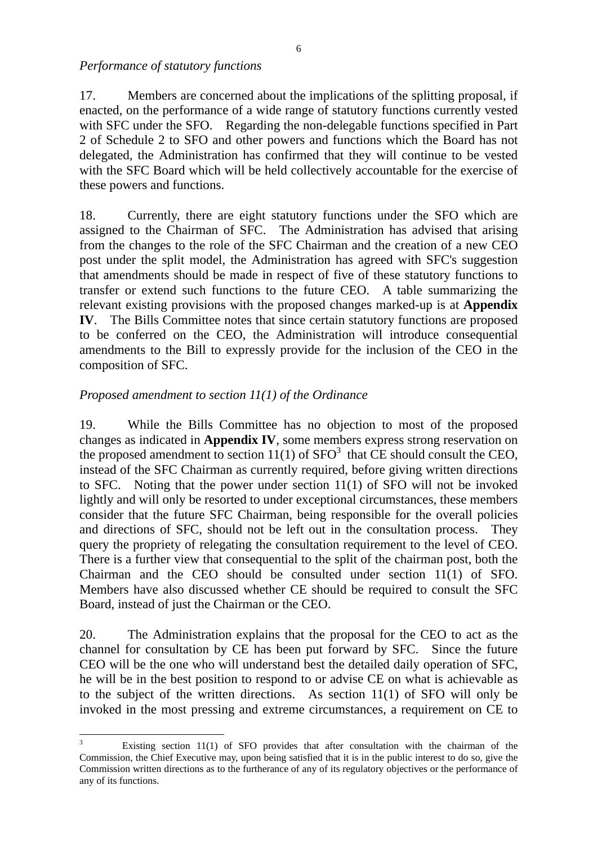*Performance of statutory functions* 

17. Members are concerned about the implications of the splitting proposal, if enacted, on the performance of a wide range of statutory functions currently vested with SFC under the SFO. Regarding the non-delegable functions specified in Part 2 of Schedule 2 to SFO and other powers and functions which the Board has not delegated, the Administration has confirmed that they will continue to be vested with the SFC Board which will be held collectively accountable for the exercise of these powers and functions.

18. Currently, there are eight statutory functions under the SFO which are assigned to the Chairman of SFC. The Administration has advised that arising from the changes to the role of the SFC Chairman and the creation of a new CEO post under the split model, the Administration has agreed with SFC's suggestion that amendments should be made in respect of five of these statutory functions to transfer or extend such functions to the future CEO. A table summarizing the relevant existing provisions with the proposed changes marked-up is at **Appendix IV**. The Bills Committee notes that since certain statutory functions are proposed to be conferred on the CEO, the Administration will introduce consequential amendments to the Bill to expressly provide for the inclusion of the CEO in the composition of SFC.

# *Proposed amendment to section 11(1) of the Ordinance*

 $\overline{a}$ 

19. While the Bills Committee has no objection to most of the proposed changes as indicated in **Appendix IV**, some members express strong reservation on the proposed amendment to section  $11(1)$  of SFO<sup>3</sup> that CE should consult the CEO, instead of the SFC Chairman as currently required, before giving written directions to SFC. Noting that the power under section 11(1) of SFO will not be invoked lightly and will only be resorted to under exceptional circumstances, these members consider that the future SFC Chairman, being responsible for the overall policies and directions of SFC, should not be left out in the consultation process. They query the propriety of relegating the consultation requirement to the level of CEO. There is a further view that consequential to the split of the chairman post, both the Chairman and the CEO should be consulted under section 11(1) of SFO. Members have also discussed whether CE should be required to consult the SFC Board, instead of just the Chairman or the CEO.

20. The Administration explains that the proposal for the CEO to act as the channel for consultation by CE has been put forward by SFC. Since the future CEO will be the one who will understand best the detailed daily operation of SFC, he will be in the best position to respond to or advise CE on what is achievable as to the subject of the written directions. As section 11(1) of SFO will only be invoked in the most pressing and extreme circumstances, a requirement on CE to

<sup>3</sup> Existing section 11(1) of SFO provides that after consultation with the chairman of the Commission, the Chief Executive may, upon being satisfied that it is in the public interest to do so, give the Commission written directions as to the furtherance of any of its regulatory objectives or the performance of any of its functions.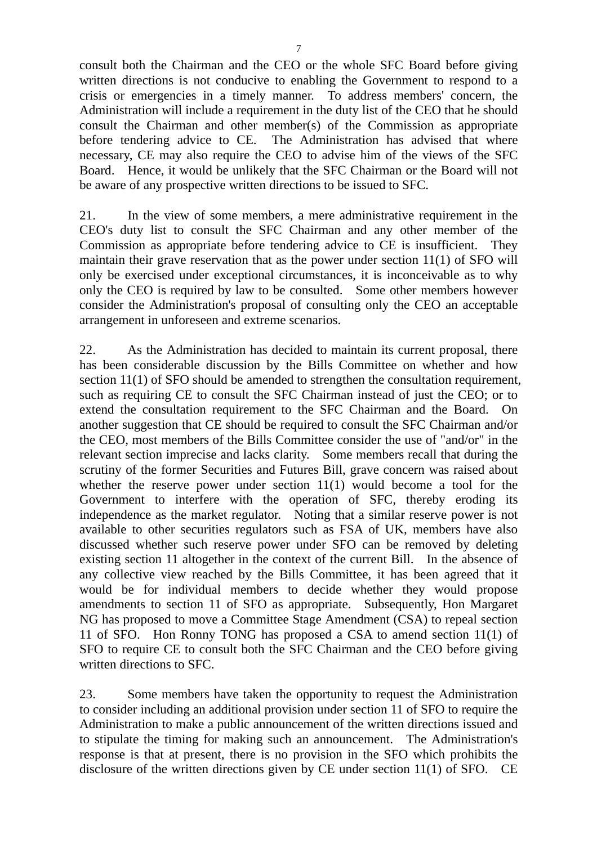consult both the Chairman and the CEO or the whole SFC Board before giving written directions is not conducive to enabling the Government to respond to a crisis or emergencies in a timely manner. To address members' concern, the Administration will include a requirement in the duty list of the CEO that he should consult the Chairman and other member(s) of the Commission as appropriate before tendering advice to CE. The Administration has advised that where necessary, CE may also require the CEO to advise him of the views of the SFC Board. Hence, it would be unlikely that the SFC Chairman or the Board will not be aware of any prospective written directions to be issued to SFC.

21. In the view of some members, a mere administrative requirement in the CEO's duty list to consult the SFC Chairman and any other member of the Commission as appropriate before tendering advice to CE is insufficient. They maintain their grave reservation that as the power under section 11(1) of SFO will only be exercised under exceptional circumstances, it is inconceivable as to why only the CEO is required by law to be consulted. Some other members however consider the Administration's proposal of consulting only the CEO an acceptable arrangement in unforeseen and extreme scenarios.

22. As the Administration has decided to maintain its current proposal, there has been considerable discussion by the Bills Committee on whether and how section 11(1) of SFO should be amended to strengthen the consultation requirement, such as requiring CE to consult the SFC Chairman instead of just the CEO; or to extend the consultation requirement to the SFC Chairman and the Board. On another suggestion that CE should be required to consult the SFC Chairman and/or the CEO, most members of the Bills Committee consider the use of "and/or" in the relevant section imprecise and lacks clarity. Some members recall that during the scrutiny of the former Securities and Futures Bill, grave concern was raised about whether the reserve power under section 11(1) would become a tool for the Government to interfere with the operation of SFC, thereby eroding its independence as the market regulator. Noting that a similar reserve power is not available to other securities regulators such as FSA of UK, members have also discussed whether such reserve power under SFO can be removed by deleting existing section 11 altogether in the context of the current Bill. In the absence of any collective view reached by the Bills Committee, it has been agreed that it would be for individual members to decide whether they would propose amendments to section 11 of SFO as appropriate. Subsequently, Hon Margaret NG has proposed to move a Committee Stage Amendment (CSA) to repeal section 11 of SFO. Hon Ronny TONG has proposed a CSA to amend section 11(1) of SFO to require CE to consult both the SFC Chairman and the CEO before giving written directions to SFC.

23. Some members have taken the opportunity to request the Administration to consider including an additional provision under section 11 of SFO to require the Administration to make a public announcement of the written directions issued and to stipulate the timing for making such an announcement. The Administration's response is that at present, there is no provision in the SFO which prohibits the disclosure of the written directions given by CE under section 11(1) of SFO. CE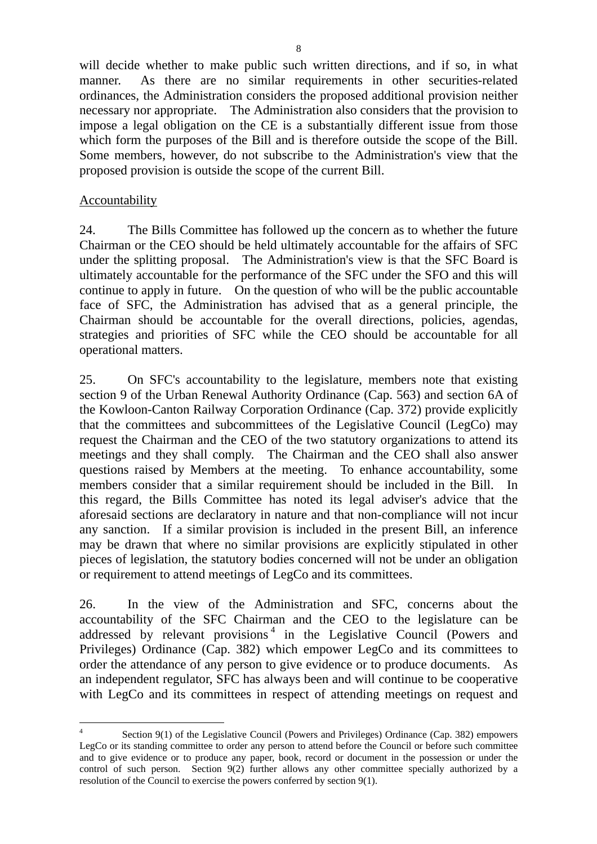will decide whether to make public such written directions, and if so, in what manner. As there are no similar requirements in other securities-related ordinances, the Administration considers the proposed additional provision neither necessary nor appropriate. The Administration also considers that the provision to impose a legal obligation on the CE is a substantially different issue from those which form the purposes of the Bill and is therefore outside the scope of the Bill. Some members, however, do not subscribe to the Administration's view that the proposed provision is outside the scope of the current Bill.

### **Accountability**

24. The Bills Committee has followed up the concern as to whether the future Chairman or the CEO should be held ultimately accountable for the affairs of SFC under the splitting proposal. The Administration's view is that the SFC Board is ultimately accountable for the performance of the SFC under the SFO and this will continue to apply in future. On the question of who will be the public accountable face of SFC, the Administration has advised that as a general principle, the Chairman should be accountable for the overall directions, policies, agendas, strategies and priorities of SFC while the CEO should be accountable for all operational matters.

25. On SFC's accountability to the legislature, members note that existing section 9 of the Urban Renewal Authority Ordinance (Cap. 563) and section 6A of the Kowloon-Canton Railway Corporation Ordinance (Cap. 372) provide explicitly that the committees and subcommittees of the Legislative Council (LegCo) may request the Chairman and the CEO of the two statutory organizations to attend its meetings and they shall comply. The Chairman and the CEO shall also answer questions raised by Members at the meeting. To enhance accountability, some members consider that a similar requirement should be included in the Bill. In this regard, the Bills Committee has noted its legal adviser's advice that the aforesaid sections are declaratory in nature and that non-compliance will not incur any sanction. If a similar provision is included in the present Bill, an inference may be drawn that where no similar provisions are explicitly stipulated in other pieces of legislation, the statutory bodies concerned will not be under an obligation or requirement to attend meetings of LegCo and its committees.

26. In the view of the Administration and SFC, concerns about the accountability of the SFC Chairman and the CEO to the legislature can be addressed by relevant provisions<sup>4</sup> in the Legislative Council (Powers and Privileges) Ordinance (Cap. 382) which empower LegCo and its committees to order the attendance of any person to give evidence or to produce documents. As an independent regulator, SFC has always been and will continue to be cooperative with LegCo and its committees in respect of attending meetings on request and

 $\frac{1}{4}$  Section 9(1) of the Legislative Council (Powers and Privileges) Ordinance (Cap. 382) empowers LegCo or its standing committee to order any person to attend before the Council or before such committee and to give evidence or to produce any paper, book, record or document in the possession or under the control of such person. Section 9(2) further allows any other committee specially authorized by a resolution of the Council to exercise the powers conferred by section 9(1).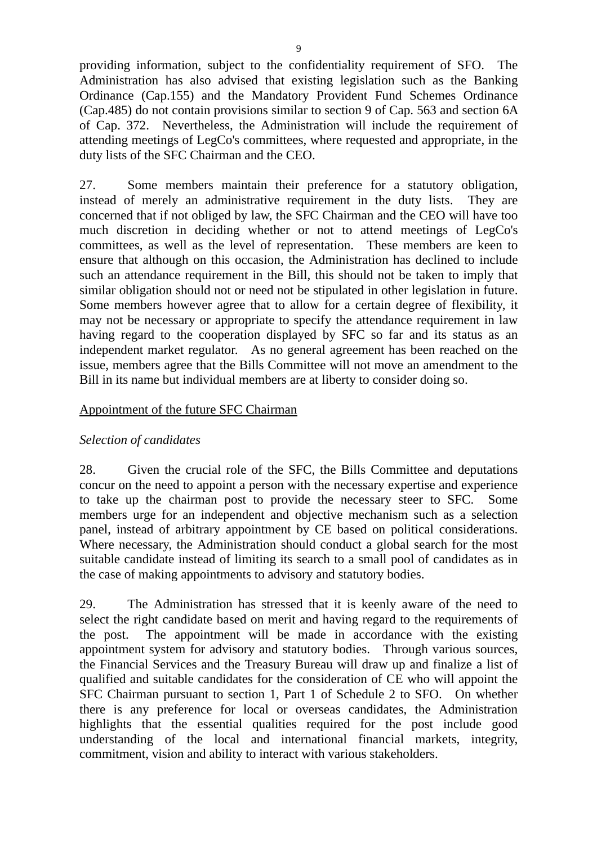providing information, subject to the confidentiality requirement of SFO. The Administration has also advised that existing legislation such as the Banking Ordinance (Cap.155) and the Mandatory Provident Fund Schemes Ordinance (Cap.485) do not contain provisions similar to section 9 of Cap. 563 and section 6A of Cap. 372. Nevertheless, the Administration will include the requirement of attending meetings of LegCo's committees, where requested and appropriate, in the duty lists of the SFC Chairman and the CEO.

27. Some members maintain their preference for a statutory obligation, instead of merely an administrative requirement in the duty lists. They are concerned that if not obliged by law, the SFC Chairman and the CEO will have too much discretion in deciding whether or not to attend meetings of LegCo's committees, as well as the level of representation. These members are keen to ensure that although on this occasion, the Administration has declined to include such an attendance requirement in the Bill, this should not be taken to imply that similar obligation should not or need not be stipulated in other legislation in future. Some members however agree that to allow for a certain degree of flexibility, it may not be necessary or appropriate to specify the attendance requirement in law having regard to the cooperation displayed by SFC so far and its status as an independent market regulator. As no general agreement has been reached on the issue, members agree that the Bills Committee will not move an amendment to the Bill in its name but individual members are at liberty to consider doing so.

### Appointment of the future SFC Chairman

#### *Selection of candidates*

28. Given the crucial role of the SFC, the Bills Committee and deputations concur on the need to appoint a person with the necessary expertise and experience to take up the chairman post to provide the necessary steer to SFC. Some members urge for an independent and objective mechanism such as a selection panel, instead of arbitrary appointment by CE based on political considerations. Where necessary, the Administration should conduct a global search for the most suitable candidate instead of limiting its search to a small pool of candidates as in the case of making appointments to advisory and statutory bodies.

29. The Administration has stressed that it is keenly aware of the need to select the right candidate based on merit and having regard to the requirements of the post. The appointment will be made in accordance with the existing appointment system for advisory and statutory bodies. Through various sources, the Financial Services and the Treasury Bureau will draw up and finalize a list of qualified and suitable candidates for the consideration of CE who will appoint the SFC Chairman pursuant to section 1, Part 1 of Schedule 2 to SFO. On whether there is any preference for local or overseas candidates, the Administration highlights that the essential qualities required for the post include good understanding of the local and international financial markets, integrity, commitment, vision and ability to interact with various stakeholders.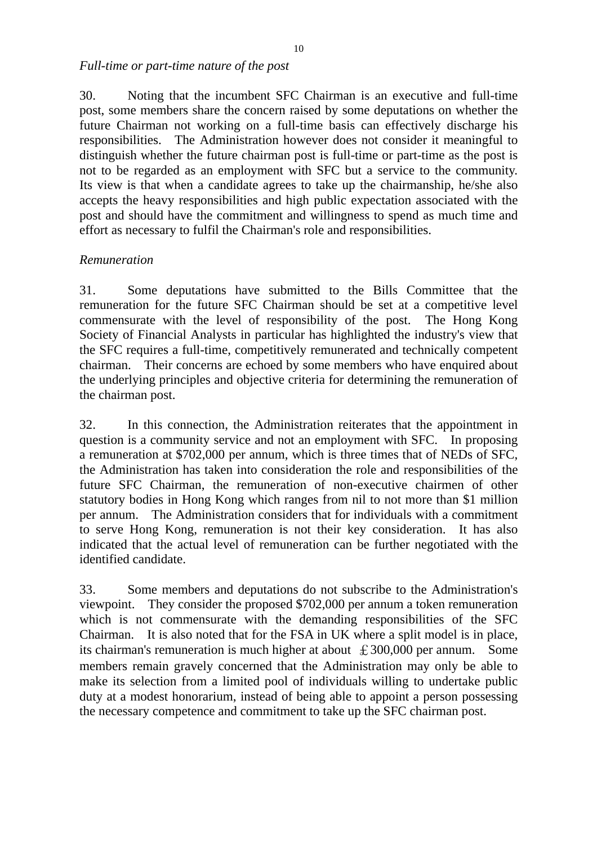*Full-time or part-time nature of the post* 

30. Noting that the incumbent SFC Chairman is an executive and full-time post, some members share the concern raised by some deputations on whether the future Chairman not working on a full-time basis can effectively discharge his responsibilities.The Administration however does not consider it meaningful to distinguish whether the future chairman post is full-time or part-time as the post is not to be regarded as an employment with SFC but a service to the community. Its view is that when a candidate agrees to take up the chairmanship, he/she also accepts the heavy responsibilities and high public expectation associated with the post and should have the commitment and willingness to spend as much time and effort as necessary to fulfil the Chairman's role and responsibilities.

### *Remuneration*

31. Some deputations have submitted to the Bills Committee that the remuneration for the future SFC Chairman should be set at a competitive level commensurate with the level of responsibility of the post. The Hong Kong Society of Financial Analysts in particular has highlighted the industry's view that the SFC requires a full-time, competitively remunerated and technically competent chairman. Their concerns are echoed by some members who have enquired about the underlying principles and objective criteria for determining the remuneration of the chairman post.

32. In this connection, the Administration reiterates that the appointment in question is a community service and not an employment with SFC. In proposing a remuneration at \$702,000 per annum, which is three times that of NEDs of SFC, the Administration has taken into consideration the role and responsibilities of the future SFC Chairman, the remuneration of non-executive chairmen of other statutory bodies in Hong Kong which ranges from nil to not more than \$1 million per annum. The Administration considers that for individuals with a commitment to serve Hong Kong, remuneration is not their key consideration. It has also indicated that the actual level of remuneration can be further negotiated with the identified candidate.

33. Some members and deputations do not subscribe to the Administration's viewpoint. They consider the proposed \$702,000 per annum a token remuneration which is not commensurate with the demanding responsibilities of the SFC Chairman. It is also noted that for the FSA in UK where a split model is in place, its chairman's remuneration is much higher at about  $\pounds$  300,000 per annum. Some members remain gravely concerned that the Administration may only be able to make its selection from a limited pool of individuals willing to undertake public duty at a modest honorarium, instead of being able to appoint a person possessing the necessary competence and commitment to take up the SFC chairman post.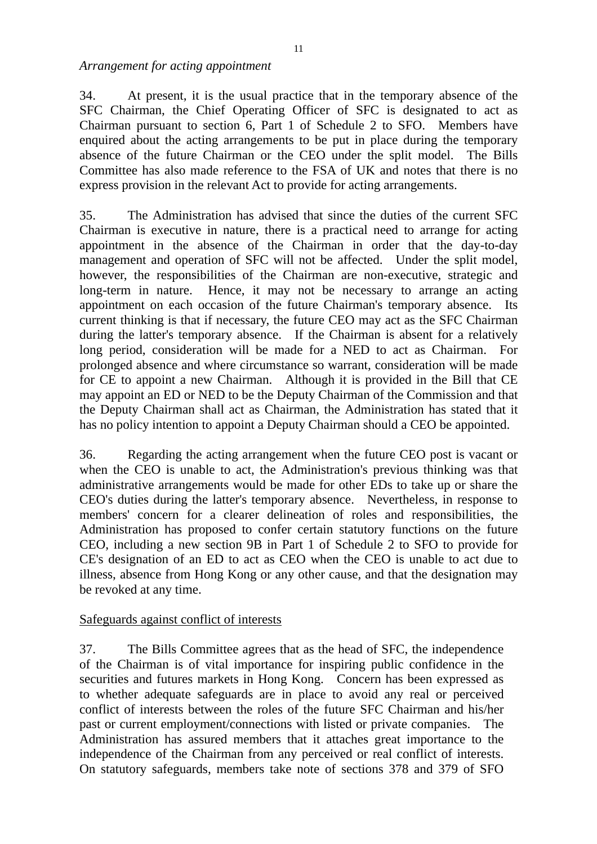*Arrangement for acting appointment* 

34. At present, it is the usual practice that in the temporary absence of the SFC Chairman, the Chief Operating Officer of SFC is designated to act as Chairman pursuant to section 6, Part 1 of Schedule 2 to SFO. Members have enquired about the acting arrangements to be put in place during the temporary absence of the future Chairman or the CEO under the split model. The Bills Committee has also made reference to the FSA of UK and notes that there is no express provision in the relevant Act to provide for acting arrangements.

35. The Administration has advised that since the duties of the current SFC Chairman is executive in nature, there is a practical need to arrange for acting appointment in the absence of the Chairman in order that the day-to-day management and operation of SFC will not be affected. Under the split model, however, the responsibilities of the Chairman are non-executive, strategic and long-term in nature. Hence, it may not be necessary to arrange an acting appointment on each occasion of the future Chairman's temporary absence. Its current thinking is that if necessary, the future CEO may act as the SFC Chairman during the latter's temporary absence. If the Chairman is absent for a relatively long period, consideration will be made for a NED to act as Chairman. For prolonged absence and where circumstance so warrant, consideration will be made for CE to appoint a new Chairman. Although it is provided in the Bill that CE may appoint an ED or NED to be the Deputy Chairman of the Commission and that the Deputy Chairman shall act as Chairman, the Administration has stated that it has no policy intention to appoint a Deputy Chairman should a CEO be appointed.

36. Regarding the acting arrangement when the future CEO post is vacant or when the CEO is unable to act, the Administration's previous thinking was that administrative arrangements would be made for other EDs to take up or share the CEO's duties during the latter's temporary absence. Nevertheless, in response to members' concern for a clearer delineation of roles and responsibilities, the Administration has proposed to confer certain statutory functions on the future CEO, including a new section 9B in Part 1 of Schedule 2 to SFO to provide for CE's designation of an ED to act as CEO when the CEO is unable to act due to illness, absence from Hong Kong or any other cause, and that the designation may be revoked at any time.

#### Safeguards against conflict of interests

37. The Bills Committee agrees that as the head of SFC, the independence of the Chairman is of vital importance for inspiring public confidence in the securities and futures markets in Hong Kong. Concern has been expressed as to whether adequate safeguards are in place to avoid any real or perceived conflict of interests between the roles of the future SFC Chairman and his/her past or current employment/connections with listed or private companies. The Administration has assured members that it attaches great importance to the independence of the Chairman from any perceived or real conflict of interests. On statutory safeguards, members take note of sections 378 and 379 of SFO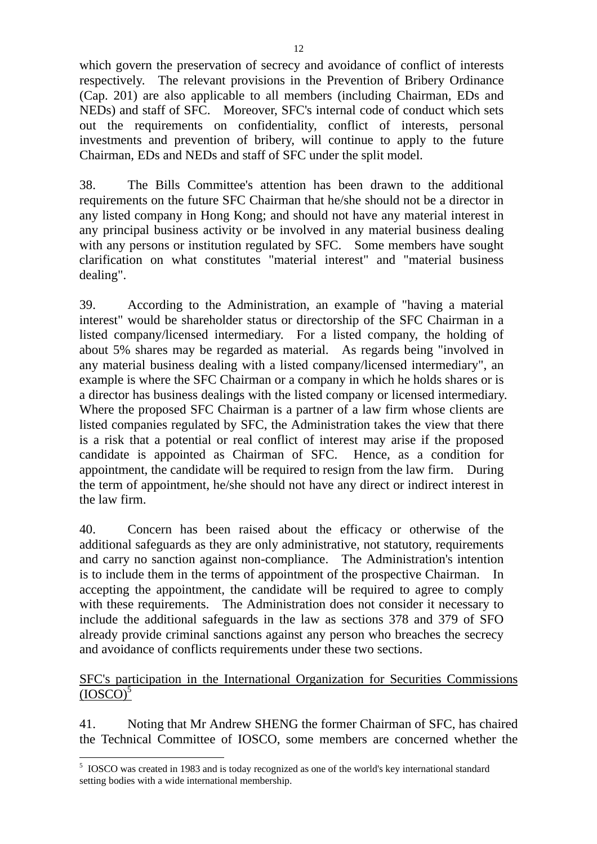which govern the preservation of secrecy and avoidance of conflict of interests respectively. The relevant provisions in the Prevention of Bribery Ordinance (Cap. 201) are also applicable to all members (including Chairman, EDs and NEDs) and staff of SFC. Moreover, SFC's internal code of conduct which sets out the requirements on confidentiality, conflict of interests, personal investments and prevention of bribery, will continue to apply to the future Chairman, EDs and NEDs and staff of SFC under the split model.

38. The Bills Committee's attention has been drawn to the additional requirements on the future SFC Chairman that he/she should not be a director in any listed company in Hong Kong; and should not have any material interest in any principal business activity or be involved in any material business dealing with any persons or institution regulated by SFC. Some members have sought clarification on what constitutes "material interest" and "material business dealing".

39. According to the Administration, an example of "having a material interest" would be shareholder status or directorship of the SFC Chairman in a listed company/licensed intermediary. For a listed company, the holding of about 5% shares may be regarded as material. As regards being "involved in any material business dealing with a listed company/licensed intermediary", an example is where the SFC Chairman or a company in which he holds shares or is a director has business dealings with the listed company or licensed intermediary. Where the proposed SFC Chairman is a partner of a law firm whose clients are listed companies regulated by SFC, the Administration takes the view that there is a risk that a potential or real conflict of interest may arise if the proposed candidate is appointed as Chairman of SFC. Hence, as a condition for appointment, the candidate will be required to resign from the law firm. During the term of appointment, he/she should not have any direct or indirect interest in the law firm.

40. Concern has been raised about the efficacy or otherwise of the additional safeguards as they are only administrative, not statutory, requirements and carry no sanction against non-compliance. The Administration's intention is to include them in the terms of appointment of the prospective Chairman. In accepting the appointment, the candidate will be required to agree to comply with these requirements. The Administration does not consider it necessary to include the additional safeguards in the law as sections 378 and 379 of SFO already provide criminal sanctions against any person who breaches the secrecy and avoidance of conflicts requirements under these two sections.

#### SFC's participation in the International Organization for Securities Commissions  $(IOSCO)<sup>5</sup>$

41. Noting that Mr Andrew SHENG the former Chairman of SFC, has chaired the Technical Committee of IOSCO, some members are concerned whether the

 $\overline{a}$ 

<sup>&</sup>lt;sup>5</sup> IOSCO was created in 1983 and is today recognized as one of the world's key international standard setting bodies with a wide international membership.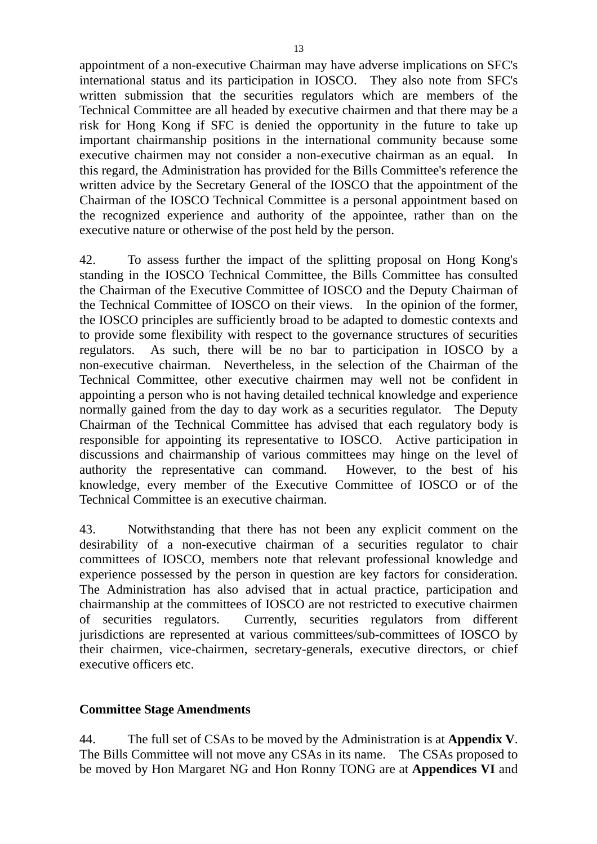appointment of a non-executive Chairman may have adverse implications on SFC's international status and its participation in IOSCO. They also note from SFC's written submission that the securities regulators which are members of the Technical Committee are all headed by executive chairmen and that there may be a risk for Hong Kong if SFC is denied the opportunity in the future to take up important chairmanship positions in the international community because some executive chairmen may not consider a non-executive chairman as an equal. In this regard, the Administration has provided for the Bills Committee's reference the written advice by the Secretary General of the IOSCO that the appointment of the Chairman of the IOSCO Technical Committee is a personal appointment based on the recognized experience and authority of the appointee, rather than on the executive nature or otherwise of the post held by the person.

42. To assess further the impact of the splitting proposal on Hong Kong's standing in the IOSCO Technical Committee, the Bills Committee has consulted the Chairman of the Executive Committee of IOSCO and the Deputy Chairman of the Technical Committee of IOSCO on their views. In the opinion of the former, the IOSCO principles are sufficiently broad to be adapted to domestic contexts and to provide some flexibility with respect to the governance structures of securities regulators. As such, there will be no bar to participation in IOSCO by a non-executive chairman. Nevertheless, in the selection of the Chairman of the Technical Committee, other executive chairmen may well not be confident in appointing a person who is not having detailed technical knowledge and experience normally gained from the day to day work as a securities regulator. The Deputy Chairman of the Technical Committee has advised that each regulatory body is responsible for appointing its representative to IOSCO. Active participation in discussions and chairmanship of various committees may hinge on the level of authority the representative can command. However, to the best of his knowledge, every member of the Executive Committee of IOSCO or of the Technical Committee is an executive chairman.

43. Notwithstanding that there has not been any explicit comment on the desirability of a non-executive chairman of a securities regulator to chair committees of IOSCO, members note that relevant professional knowledge and experience possessed by the person in question are key factors for consideration. The Administration has also advised that in actual practice, participation and chairmanship at the committees of IOSCO are not restricted to executive chairmen of securities regulators. Currently, securities regulators from different jurisdictions are represented at various committees/sub-committees of IOSCO by their chairmen, vice-chairmen, secretary-generals, executive directors, or chief executive officers etc.

### **Committee Stage Amendments**

44. The full set of CSAs to be moved by the Administration is at **Appendix V**. The Bills Committee will not move any CSAs in its name. The CSAs proposed to be moved by Hon Margaret NG and Hon Ronny TONG are at **Appendices VI** and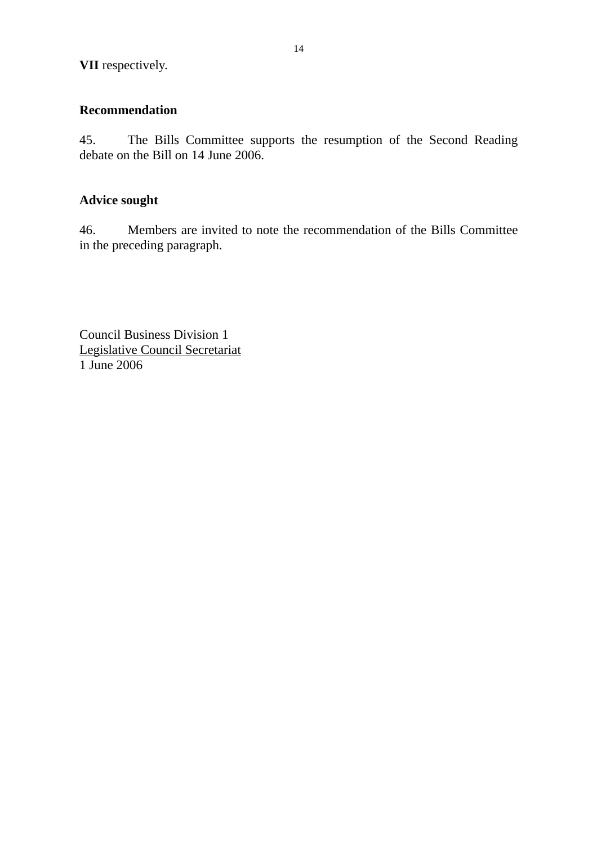# **Recommendation**

45. The Bills Committee supports the resumption of the Second Reading debate on the Bill on 14 June 2006.

# **Advice sought**

46. Members are invited to note the recommendation of the Bills Committee in the preceding paragraph.

Council Business Division 1 Legislative Council Secretariat 1 June 2006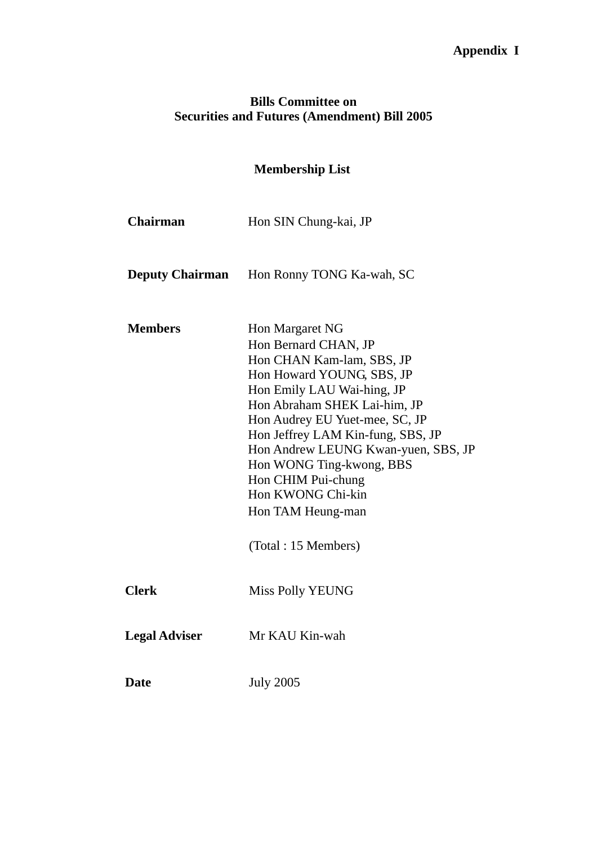# **Appendix I**

## **Bills Committee on Securities and Futures (Amendment) Bill 2005**

# **Membership List**

**Chairman** Hon SIN Chung-kai, JP

**Deputy Chairman** Hon Ronny TONG Ka-wah, SC

| <b>Members</b>       | Hon Margaret NG                     |
|----------------------|-------------------------------------|
|                      | Hon Bernard CHAN, JP                |
|                      | Hon CHAN Kam-lam, SBS, JP           |
|                      | Hon Howard YOUNG, SBS, JP           |
|                      | Hon Emily LAU Wai-hing, JP          |
|                      | Hon Abraham SHEK Lai-him, JP        |
|                      | Hon Audrey EU Yuet-mee, SC, JP      |
|                      | Hon Jeffrey LAM Kin-fung, SBS, JP   |
|                      | Hon Andrew LEUNG Kwan-yuen, SBS, JP |
|                      | Hon WONG Ting-kwong, BBS            |
|                      | Hon CHIM Pui-chung                  |
|                      | Hon KWONG Chi-kin                   |
|                      | Hon TAM Heung-man                   |
|                      | (Total: 15 Members)                 |
| <b>Clerk</b>         | Miss Polly YEUNG                    |
| <b>Legal Adviser</b> | Mr KAU Kin-wah                      |
| <b>Date</b>          | <b>July 2005</b>                    |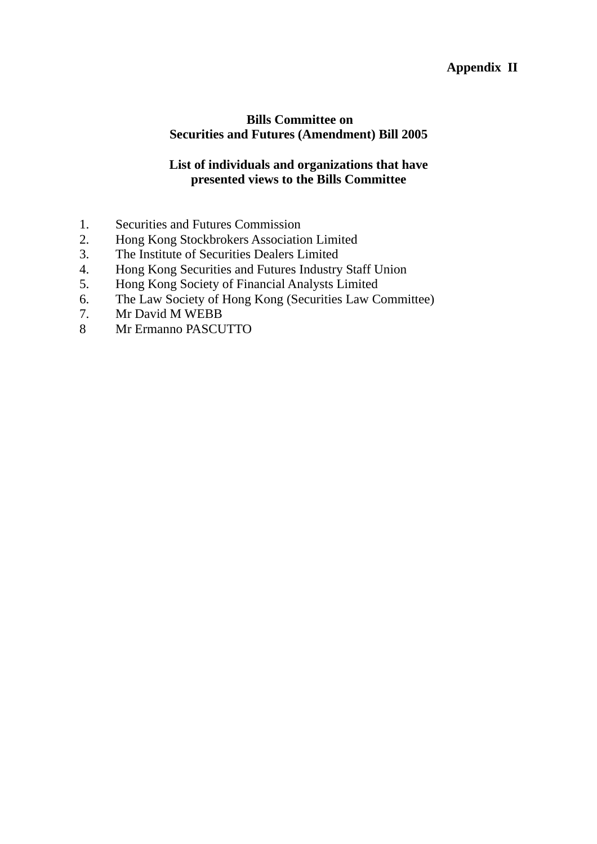## **Appendix II**

### **Bills Committee on Securities and Futures (Amendment) Bill 2005**

### **List of individuals and organizations that have presented views to the Bills Committee**

- 1. Securities and Futures Commission
- 2. Hong Kong Stockbrokers Association Limited
- 3. The Institute of Securities Dealers Limited
- 4. Hong Kong Securities and Futures Industry Staff Union
- 5. Hong Kong Society of Financial Analysts Limited
- 6. The Law Society of Hong Kong (Securities Law Committee)
- 7. Mr David M WEBB
- 8 Mr Ermanno PASCUTTO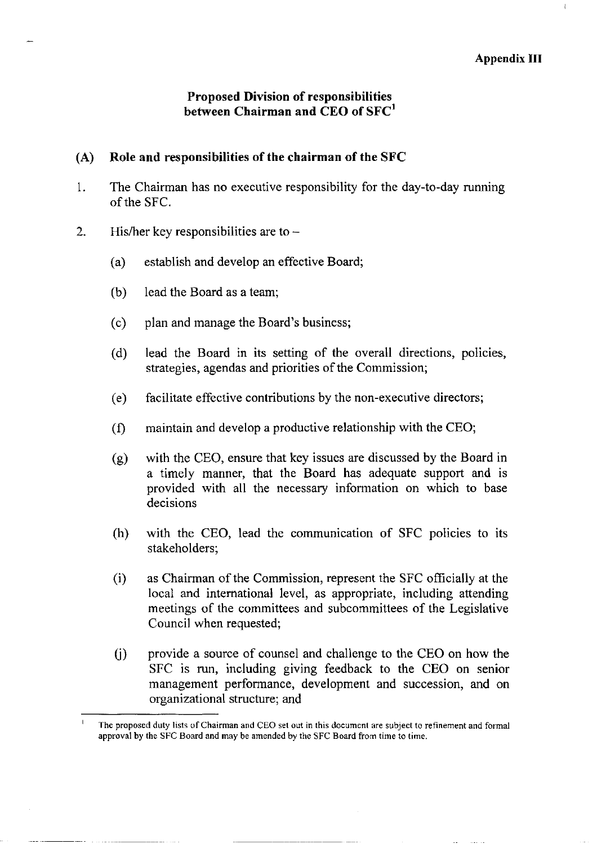### **Proposed Division of responsibilities** between Chairman and CEO of SFC<sup>1</sup>

#### Role and responsibilities of the chairman of the SFC  $(A)$

- The Chairman has no executive responsibility for the day-to-day running  $\mathbf{1}$ . of the SFC.
- $2.$ His/her key responsibilities are to  $$ 
	- establish and develop an effective Board;  $(a)$
	- $(b)$ lead the Board as a team:
	- $(c)$ plan and manage the Board's business;
	- $(d)$ lead the Board in its setting of the overall directions, policies, strategies, agendas and priorities of the Commission;
	- facilitate effective contributions by the non-executive directors;  $(e)$
	- maintain and develop a productive relationship with the CEO;  $(f)$
	- with the CEO, ensure that key issues are discussed by the Board in  $\left( \varrho \right)$ a timely manner, that the Board has adequate support and is provided with all the necessary information on which to base decisions
	- with the CEO, lead the communication of SFC policies to its  $(h)$ stakeholders:
	- as Chairman of the Commission, represent the SFC officially at the  $(i)$ local and international level, as appropriate, including attending meetings of the committees and subcommittees of the Legislative Council when requested;
	- $(i)$ provide a source of counsel and challenge to the CEO on how the SFC is run, including giving feedback to the CEO on senior management performance, development and succession, and on organizational structure; and

 $\overline{1}$ The proposed duty lists of Chairman and CEO set out in this document are subject to refinement and formal approval by the SFC Board and may be amended by the SFC Board from time to time.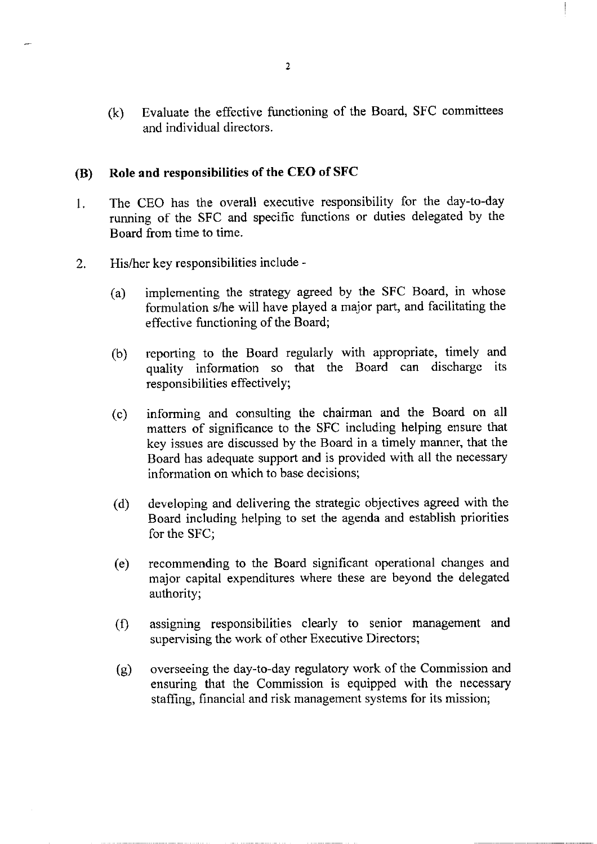Evaluate the effective functioning of the Board, SFC committees  $(k)$ and individual directors.

#### Role and responsibilities of the CEO of SFC **(B)**

- The CEO has the overall executive responsibility for the day-to-day  $1<sup>1</sup>$ running of the SFC and specific functions or duties delegated by the Board from time to time.
- His/her key responsibilities include - $\overline{2}$ .
	- implementing the strategy agreed by the SFC Board, in whose  $(a)$ formulation s/he will have played a major part, and facilitating the effective functioning of the Board;
	- reporting to the Board regularly with appropriate, timely and  $(b)$ quality information so that the Board can discharge its responsibilities effectively;
	- informing and consulting the chairman and the Board on all  $(c)$ matters of significance to the SFC including helping ensure that key issues are discussed by the Board in a timely manner, that the Board has adequate support and is provided with all the necessary information on which to base decisions:
	- developing and delivering the strategic objectives agreed with the  $(d)$ Board including helping to set the agenda and establish priorities for the SFC:
	- recommending to the Board significant operational changes and (e) major capital expenditures where these are beyond the delegated authority;
	- assigning responsibilities clearly to senior management and  $(f)$ supervising the work of other Executive Directors;
	- overseeing the day-to-day regulatory work of the Commission and  $(g)$ ensuring that the Commission is equipped with the necessary staffing, financial and risk management systems for its mission;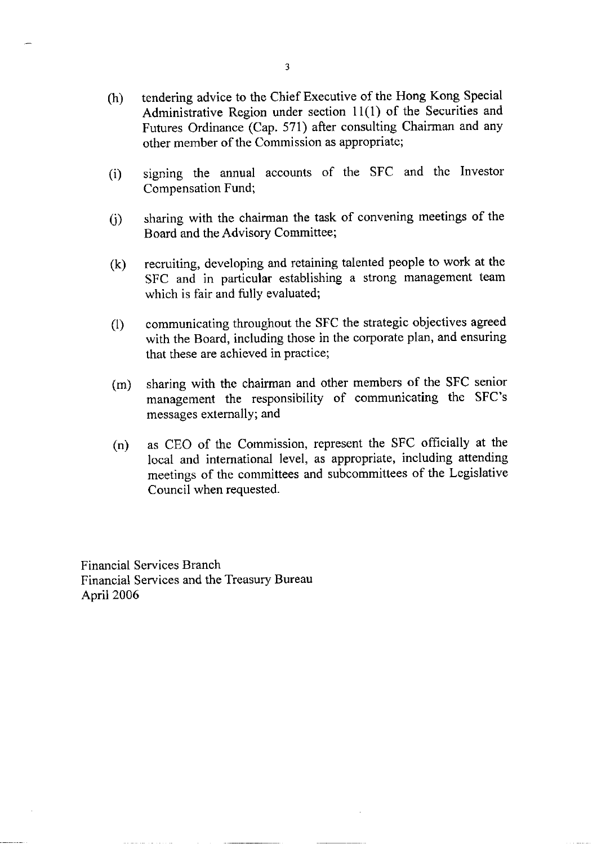- tendering advice to the Chief Executive of the Hong Kong Special  $(h)$ Administrative Region under section 11(1) of the Securities and Futures Ordinance (Cap. 571) after consulting Chairman and any other member of the Commission as appropriate;
- signing the annual accounts of the SFC and the Investor  $(i)$ Compensation Fund;
- sharing with the chairman the task of convening meetings of the  $(i)$ Board and the Advisory Committee;
- recruiting, developing and retaining talented people to work at the  $(k)$ SFC and in particular establishing a strong management team which is fair and fully evaluated;
- communicating throughout the SFC the strategic objectives agreed  $(1)$ with the Board, including those in the corporate plan, and ensuring that these are achieved in practice;
- sharing with the chairman and other members of the SFC senior  $(m)$ management the responsibility of communicating the SFC's messages externally; and
- as CEO of the Commission, represent the SFC officially at the  $(n)$ local and international level, as appropriate, including attending meetings of the committees and subcommittees of the Legislative Council when requested.

**Financial Services Branch** Financial Services and the Treasury Bureau April 2006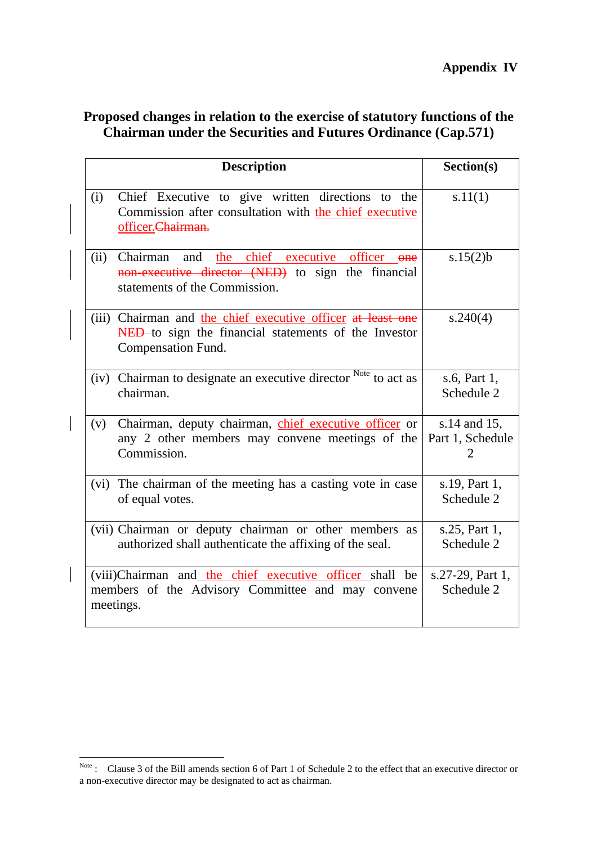| Proposed changes in relation to the exercise of statutory functions of the |
|----------------------------------------------------------------------------|
| <b>Chairman under the Securities and Futures Ordinance (Cap.571)</b>       |

| <b>Description</b>                                                                                                                                     | Section(s)                            |
|--------------------------------------------------------------------------------------------------------------------------------------------------------|---------------------------------------|
| Chief Executive to give written directions to the<br>(i)<br>Commission after consultation with the chief executive<br>officer.Chairman.                | s.11(1)                               |
| Chairman<br>the chief executive officer<br>(ii)<br>and<br>$one$<br>non-executive director (NED) to sign the financial<br>statements of the Commission. | s.15(2)b                              |
| (iii) Chairman and the chief executive officer at least one<br>NED to sign the financial statements of the Investor<br>Compensation Fund.              | s.240(4)                              |
| (iv) Chairman to designate an executive director Note to act as<br>chairman.                                                                           | s.6, Part 1,<br>Schedule 2            |
| Chairman, deputy chairman, chief executive officer or<br>(v)<br>any 2 other members may convene meetings of the<br>Commission.                         | s.14 and 15,<br>Part 1, Schedule<br>2 |
| (vi) The chairman of the meeting has a casting vote in case<br>of equal votes.                                                                         | s.19, Part 1,<br>Schedule 2           |
| (vii) Chairman or deputy chairman or other members as<br>authorized shall authenticate the affixing of the seal.                                       | s.25, Part 1,<br>Schedule 2           |
| (viii)Chairman and the chief executive officer shall be<br>members of the Advisory Committee and may convene<br>meetings.                              | s.27-29, Part 1,<br>Schedule 2        |

 $\overline{a}$ 

 $\vert$ 

 $\overline{\phantom{a}}$ 

Note: Clause 3 of the Bill amends section 6 of Part 1 of Schedule 2 to the effect that an executive director or a non-executive director may be designated to act as chairman.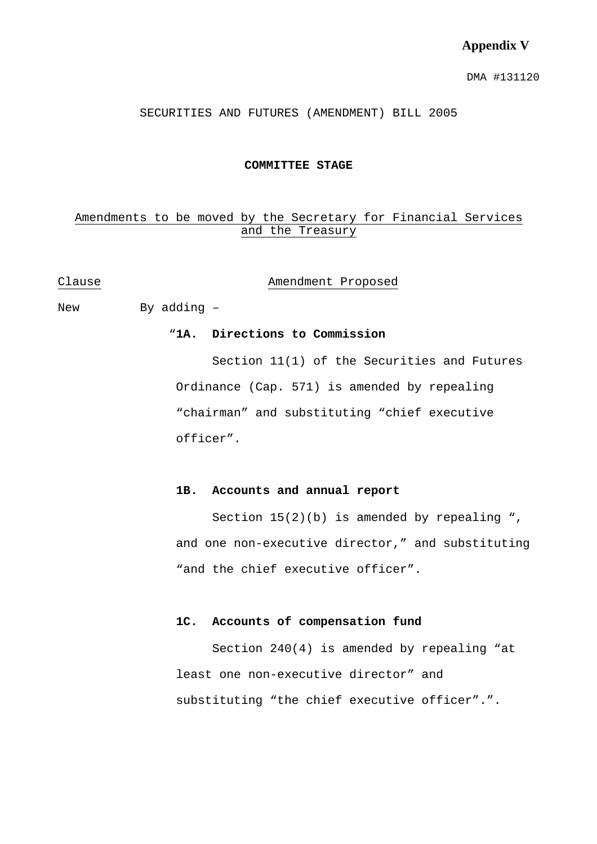#### **Appendix V**

DMA #131120

SECURITIES AND FUTURES (AMENDMENT) BILL 2005

#### **COMMITTEE STAGE**

#### Amendments to be moved by the Secretary for Financial Services and the Treasury

#### Clause **Amendment** Proposed

New By adding –

#### "**1A. Directions to Commission**

 Section 11(1) of the Securities and Futures Ordinance (Cap. 571) is amended by repealing "chairman" and substituting "chief executive officer".

#### **1B. Accounts and annual report**

Section  $15(2)(b)$  is amended by repealing ", and one non-executive director," and substituting "and the chief executive officer".

#### **1C. Accounts of compensation fund**

 Section 240(4) is amended by repealing "at least one non-executive director" and substituting "the chief executive officer".".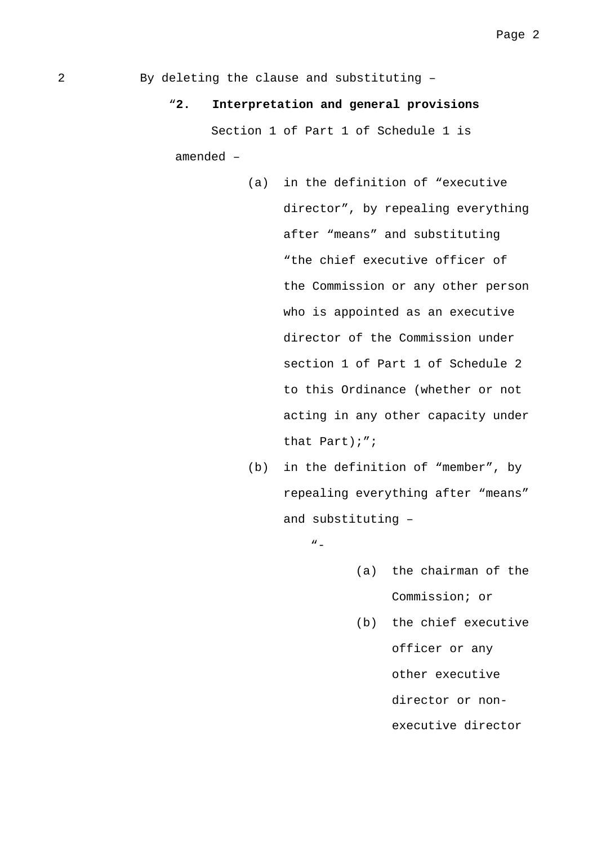2 By deleting the clause and substituting –

#### "**2. Interpretation and general provisions**

 Section 1 of Part 1 of Schedule 1 is amended –

- (a) in the definition of "executive director", by repealing everything after "means" and substituting "the chief executive officer of the Commission or any other person who is appointed as an executive director of the Commission under section 1 of Part 1 of Schedule 2 to this Ordinance (whether or not acting in any other capacity under that Part);";
- (b) in the definition of "member", by repealing everything after "means" and substituting –
	- "-
- (a) the chairman of the Commission; or
- (b) the chief executive officer or any other executive director or nonexecutive director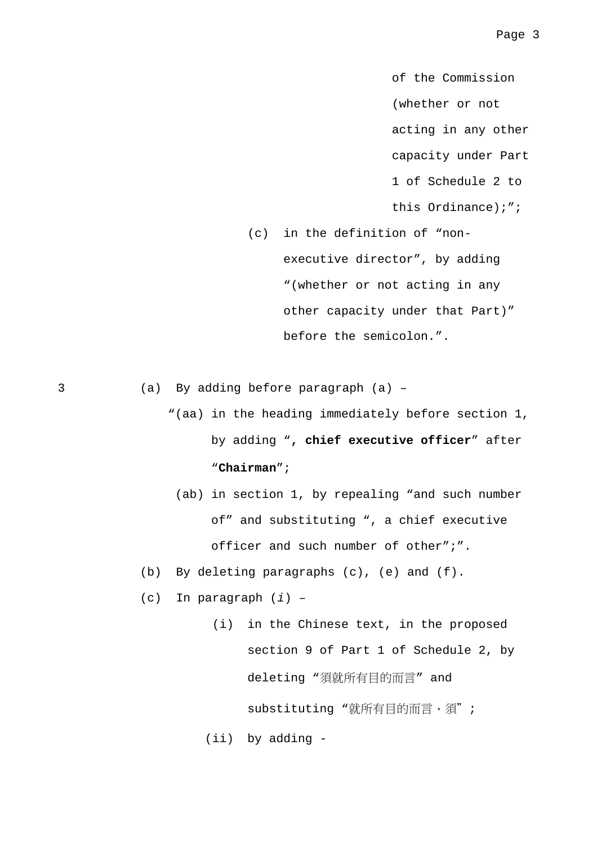of the Commission (whether or not acting in any other capacity under Part 1 of Schedule 2 to this Ordinance);";

(c) in the definition of "nonexecutive director", by adding "(whether or not acting in any other capacity under that Part)" before the semicolon.".

3 (a) By adding before paragraph (a) –

```
"(aa) in the heading immediately before section 1, 
by adding ", chief executive officer" after 
"Chairman";
```
- (ab) in section 1, by repealing "and such number of" and substituting ", a chief executive officer and such number of other";".
- (b) By deleting paragraphs (c), (e) and (f).
- (c) In paragraph (*i*) –

 (i) in the Chinese text, in the proposed section 9 of Part 1 of Schedule 2, by deleting "須就所有目的而言" and substituting "就所有目的而言,須";

(ii) by adding -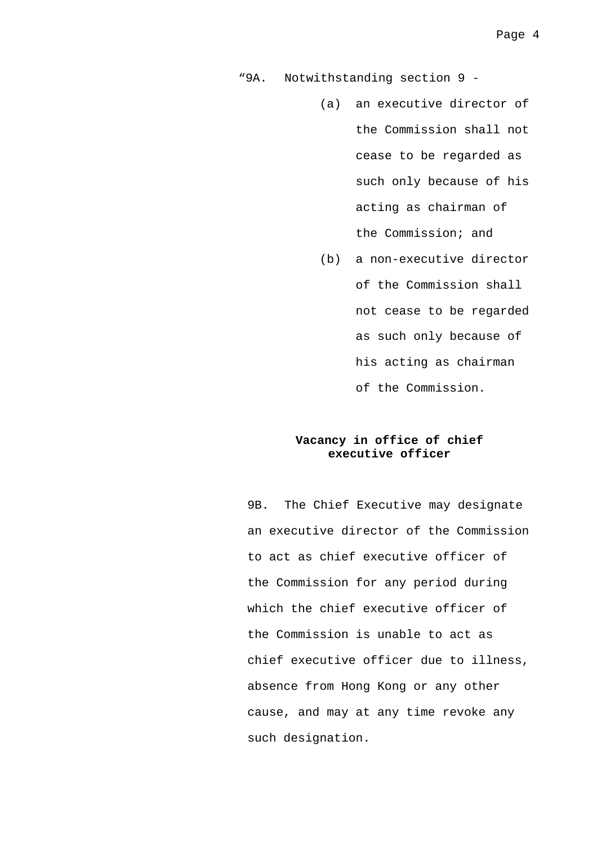"9A. Notwithstanding section 9 -

- (a) an executive director of the Commission shall not cease to be regarded as such only because of his acting as chairman of the Commission; and
- (b) a non-executive director of the Commission shall not cease to be regarded as such only because of his acting as chairman of the Commission.

#### **Vacancy in office of chief executive officer**

9B. The Chief Executive may designate an executive director of the Commission to act as chief executive officer of the Commission for any period during which the chief executive officer of the Commission is unable to act as chief executive officer due to illness, absence from Hong Kong or any other cause, and may at any time revoke any such designation.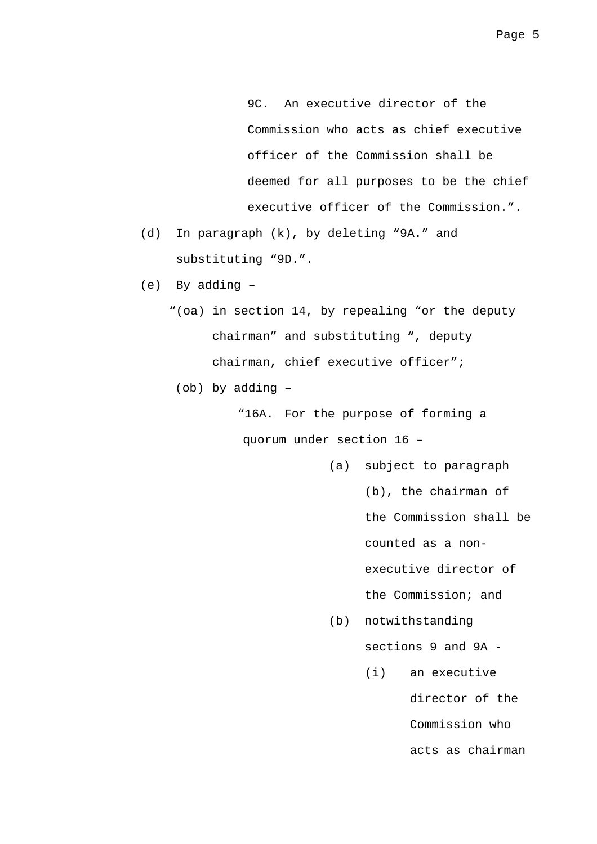9C. An executive director of the Commission who acts as chief executive officer of the Commission shall be deemed for all purposes to be the chief executive officer of the Commission.".

- (d) In paragraph (k), by deleting "9A." and substituting "9D.".
- (e) By adding
	- "(oa) in section 14, by repealing "or the deputy chairman" and substituting ", deputy chairman, chief executive officer";
		- (ob) by adding –

"16A. For the purpose of forming a quorum under section 16 –

- (a) subject to paragraph
	- (b), the chairman of

the Commission shall be

counted as a non-

executive director of

- the Commission; and
- (b) notwithstanding

sections 9 and 9A -

(i) an executive director of the Commission who acts as chairman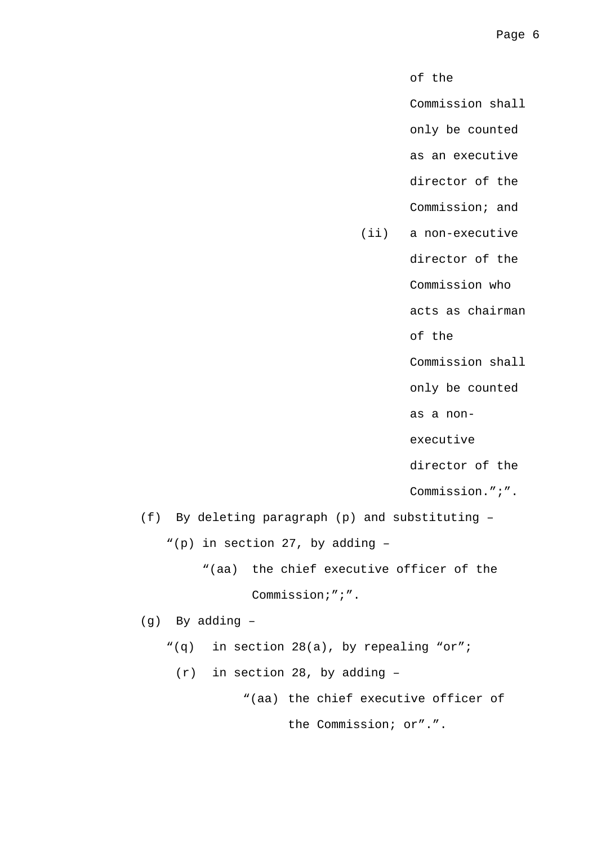of the

Commission shall

only be counted

as an executive

director of the

Commission; and

(ii) a non-executive

director of the

Commission who

acts as chairman

of the

Commission shall

only be counted

as a non-

executive

director of the

Commission.";".

 (f) By deleting paragraph (p) and substituting – "(p) in section 27, by adding –

> "(aa) the chief executive officer of the Commission;";".

(g) By adding –

"(q) in section 28(a), by repealing "or";

(r) in section 28, by adding –

"(aa) the chief executive officer of

the Commission; or".".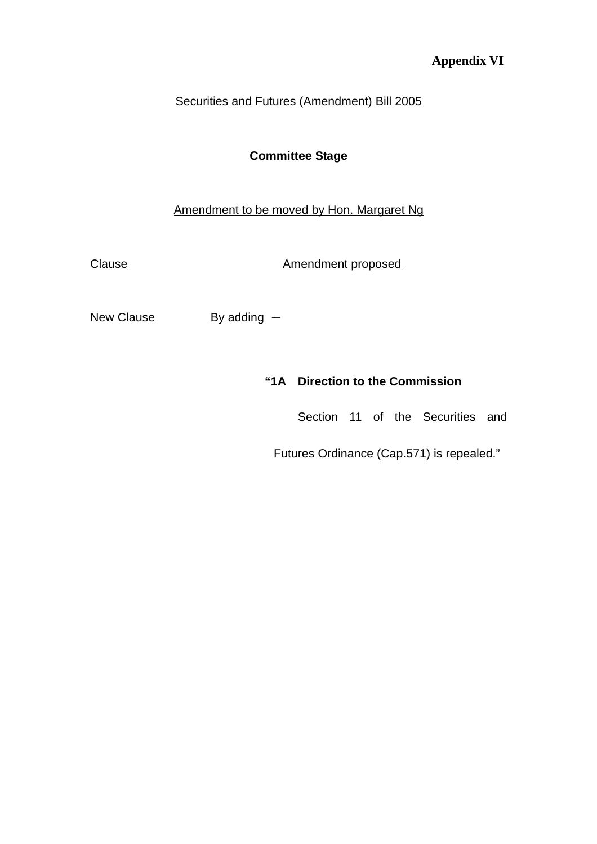# **Appendix VI**

Securities and Futures (Amendment) Bill 2005

# **Committee Stage**

# Amendment to be moved by Hon. Margaret Ng

Clause **Amendment proposed** 

New Clause  $\qquad \qquad$  By adding  $-$ 

### **"1A Direction to the Commission**

Section 11 of the Securities and

Futures Ordinance (Cap.571) is repealed."